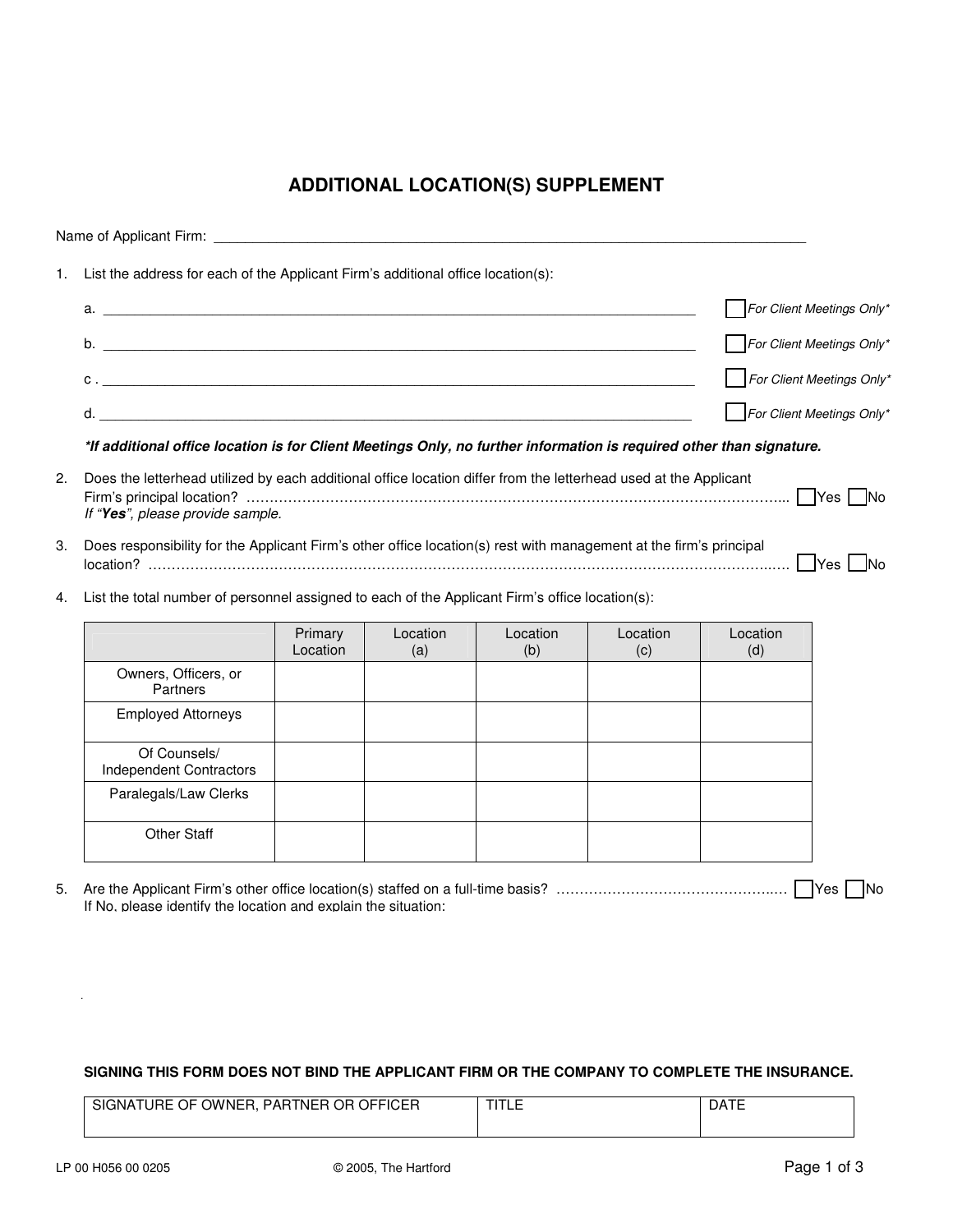## **ADDITIONAL LOCATION(S) SUPPLEMENT**

| 1. | List the address for each of the Applicant Firm's additional office location(s):                                                                     |                                                                                                                                                                                                                                                                                                                                                            |                 |                 |                 |                           |                           |  |
|----|------------------------------------------------------------------------------------------------------------------------------------------------------|------------------------------------------------------------------------------------------------------------------------------------------------------------------------------------------------------------------------------------------------------------------------------------------------------------------------------------------------------------|-----------------|-----------------|-----------------|---------------------------|---------------------------|--|
|    |                                                                                                                                                      |                                                                                                                                                                                                                                                                                                                                                            |                 |                 |                 | For Client Meetings Only* |                           |  |
|    |                                                                                                                                                      |                                                                                                                                                                                                                                                                                                                                                            |                 |                 |                 |                           | For Client Meetings Only* |  |
|    |                                                                                                                                                      |                                                                                                                                                                                                                                                                                                                                                            |                 |                 |                 |                           | For Client Meetings Only* |  |
|    | d.                                                                                                                                                   |                                                                                                                                                                                                                                                                                                                                                            |                 |                 |                 |                           | For Client Meetings Only* |  |
|    | *If additional office location is for Client Meetings Only, no further information is required other than signature.                                 |                                                                                                                                                                                                                                                                                                                                                            |                 |                 |                 |                           |                           |  |
| 2. | Does the letterhead utilized by each additional office location differ from the letterhead used at the Applicant<br>If "Yes", please provide sample. |                                                                                                                                                                                                                                                                                                                                                            |                 |                 |                 |                           |                           |  |
| 3. |                                                                                                                                                      | Does responsibility for the Applicant Firm's other office location(s) rest with management at the firm's principal<br><u>  100   100   100   100   100   100   100   100   100   100   100   100   100   100   100   100   100   100   100   100   100   100   100   100   100   100   100   100   100   100   100   100   100   100   100   100   100</u> |                 |                 |                 |                           |                           |  |
| 4. | List the total number of personnel assigned to each of the Applicant Firm's office location(s):                                                      |                                                                                                                                                                                                                                                                                                                                                            |                 |                 |                 |                           |                           |  |
|    |                                                                                                                                                      | Primary<br>Location                                                                                                                                                                                                                                                                                                                                        | Location<br>(a) | Location<br>(b) | Location<br>(c) | Location<br>(d)           |                           |  |
|    | Owners, Officers, or<br>Partners                                                                                                                     |                                                                                                                                                                                                                                                                                                                                                            |                 |                 |                 |                           |                           |  |
|    | <b>Employed Attorneys</b>                                                                                                                            |                                                                                                                                                                                                                                                                                                                                                            |                 |                 |                 |                           |                           |  |
|    | Of Counsels/<br>Independent Contractors                                                                                                              |                                                                                                                                                                                                                                                                                                                                                            |                 |                 |                 |                           |                           |  |
|    | Paralegals/Law Clerks                                                                                                                                |                                                                                                                                                                                                                                                                                                                                                            |                 |                 |                 |                           |                           |  |
|    | <b>Other Staff</b>                                                                                                                                   |                                                                                                                                                                                                                                                                                                                                                            |                 |                 |                 |                           |                           |  |

5. Are the Applicant Firm's other office location(s) staffed on a full-time basis? ………………………………………..… Yes No If No, please identify the location and explain the situation:

 $\mathcal{L}_\mathcal{L} = \mathcal{L}_\mathcal{L} = \mathcal{L}_\mathcal{L} = \mathcal{L}_\mathcal{L} = \mathcal{L}_\mathcal{L} = \mathcal{L}_\mathcal{L} = \mathcal{L}_\mathcal{L} = \mathcal{L}_\mathcal{L} = \mathcal{L}_\mathcal{L} = \mathcal{L}_\mathcal{L} = \mathcal{L}_\mathcal{L} = \mathcal{L}_\mathcal{L} = \mathcal{L}_\mathcal{L} = \mathcal{L}_\mathcal{L} = \mathcal{L}_\mathcal{L} = \mathcal{L}_\mathcal{L} = \mathcal{L}_\mathcal{L}$ 

## **SIGNING THIS FORM DOES NOT BIND THE APPLICANT FIRM OR THE COMPANY TO COMPLETE THE INSURANCE.**

| <b>OWNER.</b><br><b>OFFICER</b><br>0E.<br>OR.<br><b>PARTNER</b><br>SIG<br>GNATURE<br>ີ | ---<br>--<br>1 L C | $\overline{\phantom{a}}$<br>DAI |
|----------------------------------------------------------------------------------------|--------------------|---------------------------------|
|                                                                                        |                    |                                 |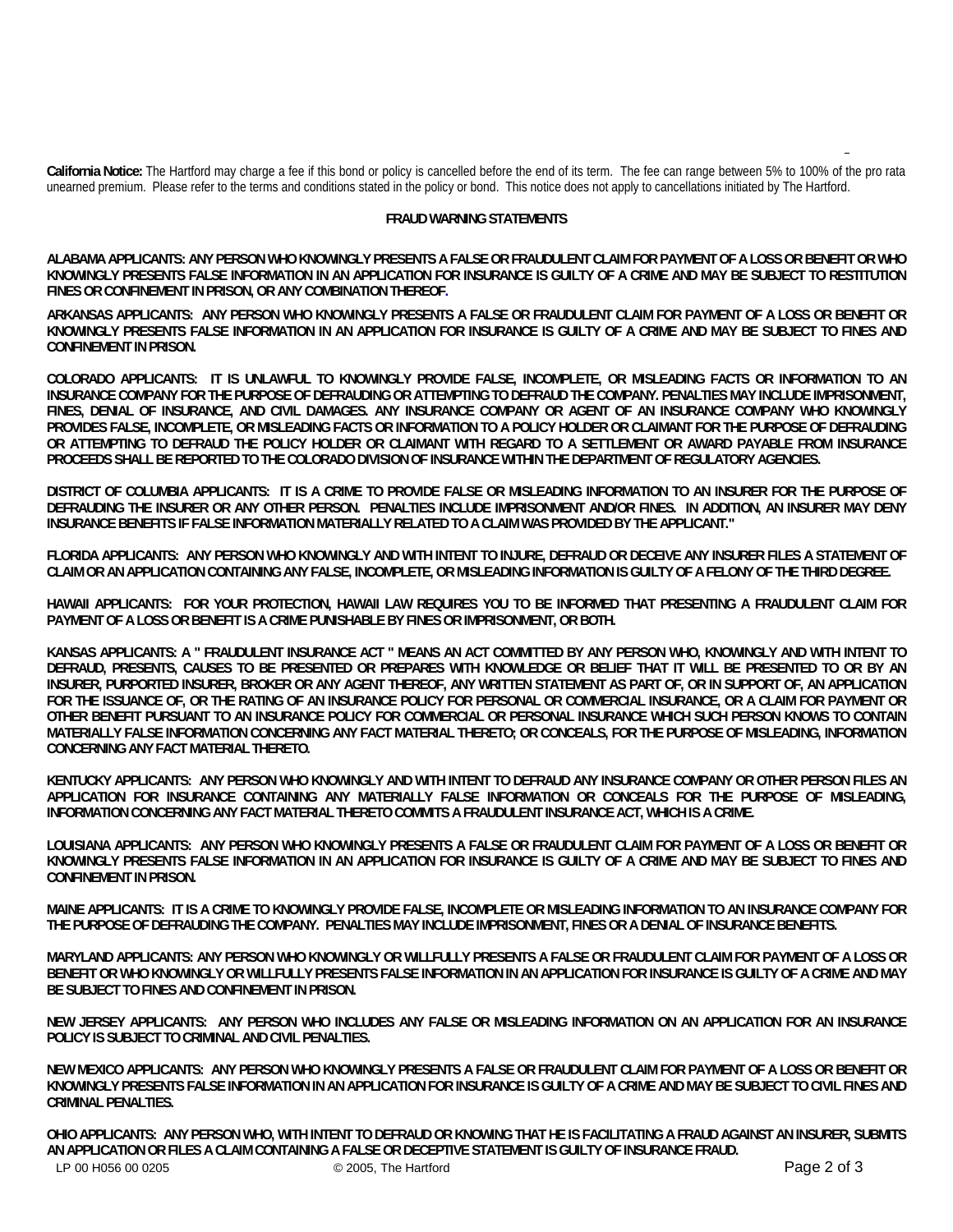**California Notice:** The Hartford may charge a fee if this bond or policy is cancelled before the end of its term. The fee can range between 5% to 100% of the pro rata unearned premium. Please refer to the terms and conditions stated in the policy or bond. This notice does not apply to cancellations initiated by The Hartford.

## **FRAUD WARNING STATEMENTS**

**ALABAMA APPLICANTS: ANY PERSON WHO KNOWINGLY PRESENTS A FALSE OR FRAUDULENT CLAIM FOR PAYMENT OF A LOSS OR BENEFIT OR WHO KNOWINGLY PRESENTS FALSE INFORMATION IN AN APPLICATION FOR INSURANCE IS GUILTY OF A CRIME AND MAY BE SUBJECT TO RESTITUTION FINES OR CONFINEMENT IN PRISON, OR ANY COMBINATION THEREOF.**

**ARKANSAS APPLICANTS: ANY PERSON WHO KNOWINGLY PRESENTS A FALSE OR FRAUDULENT CLAIM FOR PAYMENT OF A LOSS OR BENEFIT OR KNOWINGLY PRESENTS FALSE INFORMATION IN AN APPLICATION FOR INSURANCE IS GUILTY OF A CRIME AND MAY BE SUBJECT TO FINES AND CONFINEMENT IN PRISON.** 

**COLORADO APPLICANTS: IT IS UNLAWFUL TO KNOWINGLY PROVIDE FALSE, INCOMPLETE, OR MISLEADING FACTS OR INFORMATION TO AN INSURANCE COMPANY FOR THE PURPOSE OF DEFRAUDING OR ATTEMPTING TO DEFRAUD THE COMPANY. PENALTIES MAY INCLUDE IMPRISONMENT, FINES, DENIAL OF INSURANCE, AND CIVIL DAMAGES. ANY INSURANCE COMPANY OR AGENT OF AN INSURANCE COMPANY WHO KNOWINGLY PROVIDES FALSE, INCOMPLETE, OR MISLEADING FACTS OR INFORMATION TO A POLICY HOLDER OR CLAIMANT FOR THE PURPOSE OF DEFRAUDING OR ATTEMPTING TO DEFRAUD THE POLICY HOLDER OR CLAIMANT WITH REGARD TO A SETTLEMENT OR AWARD PAYABLE FROM INSURANCE PROCEEDS SHALL BE REPORTED TO THE COLORADO DIVISION OF INSURANCE WITHIN THE DEPARTMENT OF REGULATORY AGENCIES.** 

**DISTRICT OF COLUMBIA APPLICANTS: IT IS A CRIME TO PROVIDE FALSE OR MISLEADING INFORMATION TO AN INSURER FOR THE PURPOSE OF DEFRAUDING THE INSURER OR ANY OTHER PERSON. PENALTIES INCLUDE IMPRISONMENT AND/OR FINES. IN ADDITION, AN INSURER MAY DENY INSURANCE BENEFITS IF FALSE INFORMATION MATERIALLY RELATED TO A CLAIM WAS PROVIDED BY THE APPLICANT."** 

**FLORIDA APPLICANTS: ANY PERSON WHO KNOWINGLY AND WITH INTENT TO INJURE, DEFRAUD OR DECEIVE ANY INSURER FILES A STATEMENT OF CLAIM OR AN APPLICATION CONTAINING ANY FALSE, INCOMPLETE, OR MISLEADING INFORMATION IS GUILTY OF A FELONY OF THE THIRD DEGREE.** 

**HAWAII APPLICANTS: FOR YOUR PROTECTION, HAWAII LAW REQUIRES YOU TO BE INFORMED THAT PRESENTING A FRAUDULENT CLAIM FOR PAYMENT OF A LOSS OR BENEFIT IS A CRIME PUNISHABLE BY FINES OR IMPRISONMENT, OR BOTH.** 

**KANSAS APPLICANTS: A " FRAUDULENT INSURANCE ACT " MEANS AN ACT COMMITTED BY ANY PERSON WHO, KNOWINGLY AND WITH INTENT TO DEFRAUD, PRESENTS, CAUSES TO BE PRESENTED OR PREPARES WITH KNOWLEDGE OR BELIEF THAT IT WILL BE PRESENTED TO OR BY AN INSURER, PURPORTED INSURER, BROKER OR ANY AGENT THEREOF, ANY WRITTEN STATEMENT AS PART OF, OR IN SUPPORT OF, AN APPLICATION FOR THE ISSUANCE OF, OR THE RATING OF AN INSURANCE POLICY FOR PERSONAL OR COMMERCIAL INSURANCE, OR A CLAIM FOR PAYMENT OR OTHER BENEFIT PURSUANT TO AN INSURANCE POLICY FOR COMMERCIAL OR PERSONAL INSURANCE WHICH SUCH PERSON KNOWS TO CONTAIN MATERIALLY FALSE INFORMATION CONCERNING ANY FACT MATERIAL THERETO; OR CONCEALS, FOR THE PURPOSE OF MISLEADING, INFORMATION CONCERNING ANY FACT MATERIAL THERETO.** 

**KENTUCKY APPLICANTS: ANY PERSON WHO KNOWINGLY AND WITH INTENT TO DEFRAUD ANY INSURANCE COMPANY OR OTHER PERSON FILES AN APPLICATION FOR INSURANCE CONTAINING ANY MATERIALLY FALSE INFORMATION OR CONCEALS FOR THE PURPOSE OF MISLEADING, INFORMATION CONCERNING ANY FACT MATERIAL THERETO COMMITS A FRAUDULENT INSURANCE ACT, WHICH IS A CRIME.** 

**LOUISIANA APPLICANTS: ANY PERSON WHO KNOWINGLY PRESENTS A FALSE OR FRAUDULENT CLAIM FOR PAYMENT OF A LOSS OR BENEFIT OR KNOWINGLY PRESENTS FALSE INFORMATION IN AN APPLICATION FOR INSURANCE IS GUILTY OF A CRIME AND MAY BE SUBJECT TO FINES AND CONFINEMENT IN PRISON.** 

**MAINE APPLICANTS: IT IS A CRIME TO KNOWINGLY PROVIDE FALSE, INCOMPLETE OR MISLEADING INFORMATION TO AN INSURANCE COMPANY FOR THE PURPOSE OF DEFRAUDING THE COMPANY. PENALTIES MAY INCLUDE IMPRISONMENT, FINES OR A DENIAL OF INSURANCE BENEFITS.** 

**MARYLAND APPLICANTS: ANY PERSON WHO KNOWINGLY OR WILLFULLY PRESENTS A FALSE OR FRAUDULENT CLAIM FOR PAYMENT OF A LOSS OR BENEFIT OR WHO KNOWINGLY OR WILLFULLY PRESENTS FALSE INFORMATION IN AN APPLICATION FOR INSURANCE IS GUILTY OF A CRIME AND MAY BE SUBJECT TO FINES AND CONFINEMENT IN PRISON.** 

**NEW JERSEY APPLICANTS: ANY PERSON WHO INCLUDES ANY FALSE OR MISLEADING INFORMATION ON AN APPLICATION FOR AN INSURANCE POLICY IS SUBJECT TO CRIMINAL AND CIVIL PENALTIES.** 

**NEW MEXICO APPLICANTS: ANY PERSON WHO KNOWINGLY PRESENTS A FALSE OR FRAUDULENT CLAIM FOR PAYMENT OF A LOSS OR BENEFIT OR KNOWINGLY PRESENTS FALSE INFORMATION IN AN APPLICATION FOR INSURANCE IS GUILTY OF A CRIME AND MAY BE SUBJECT TO CIVIL FINES AND CRIMINAL PENALTIES.** 

LP 00 H056 00 0205 C 2005, The Hartford C 2005, The Hartford C 2005 Page 2 of 3 **OHIO APPLICANTS: ANY PERSON WHO, WITH INTENT TO DEFRAUD OR KNOWING THAT HE IS FACILITATING A FRAUD AGAINST AN INSURER, SUBMITS AN APPLICATION OR FILES A CLAIM CONTAINING A FALSE OR DECEPTIVE STATEMENT IS GUILTY OF INSURANCE FRAUD.**